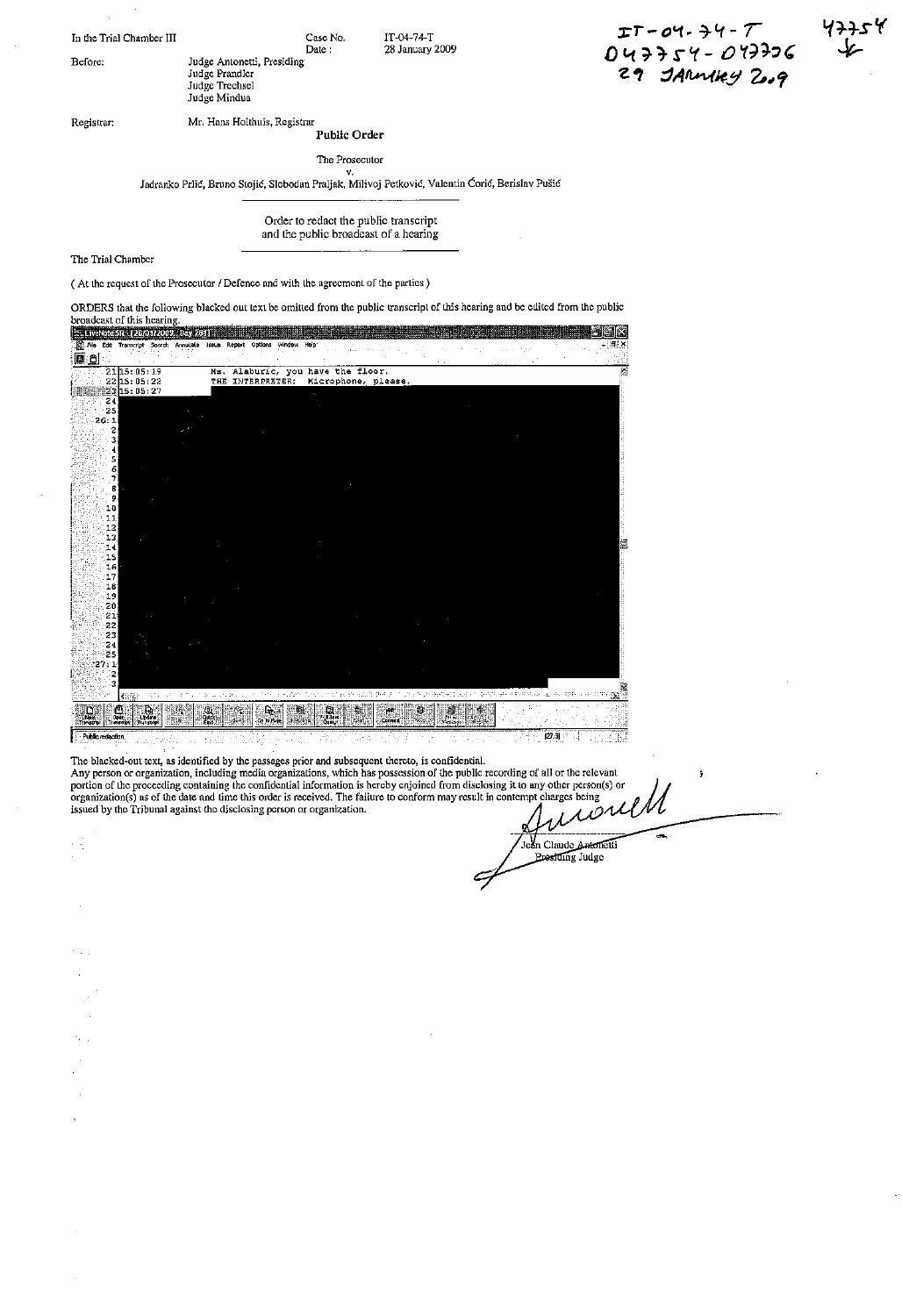In the Trial Chamber III Case No.

Before; Judge Antonetti, Presiding

Judge Prandler Judge Trechsel Judge Mindua

IT-Q4-74-T 28 January 2009

*J:T* - *0'1·* 7.-l.t - *r*  $047754 - 047736$ 29 JARMARY 2009

Registrar: Mr. Hans Holthuis, Registrar **Public Order**

Date:

The Prosecutor

v.<br>Jadranko Prlić, Bruno Stojić, Slobodan Praljak, Milivoj Petković, Valentin Ćorić, Berislav Pušić

Order to redact the public transcript and the public broadcast of a hearing

## The Trial Chamber

(At the request of the Prosecutor / Defence and with the agreement of the parties)

ORDERS that the following blacked out text be omitted from the public transcriptof this hearing and be edited from the public broadcast of this hearing. 在电话工程 医胃病的 医中心神经中心中心中的 日本 - .Alo EdIt Tra"""rlj:t 5!:<l'd! AmDtalO I,SlJO Roport O!ltl"'" wroo", ~Ip  $\overline{\mathbf{x}}$ ්ම ප 21 15: 05: 19<br>22 15: 05: 22<br>23 15: 05: 27<br>24 Ms. Alaburic, you have the floor.<br>THE INTERPRETER: Microphone, please ≅  $\frac{5}{26}$ :<br> $\frac{2}{3}$ <br> $\frac{2}{3}$ 5<br>5<br>7  $27:1$ ē k 은 Ġ,  $\mathbb{R}$ W.

The blacked-out text, as identified by the passages prior and subsequent thereto, is confidential.<br>Any person or organization, including media organizations, which has possession of the public recording of all or the relev ğ, organization(s) as of the date and time this order is received. The failure to conform may result in contempt charges being<br>issued by the Tribunal against the disclosing person or organization.

> Jean Claude Antonetti ling Judge

 $[27:3]$ 

.51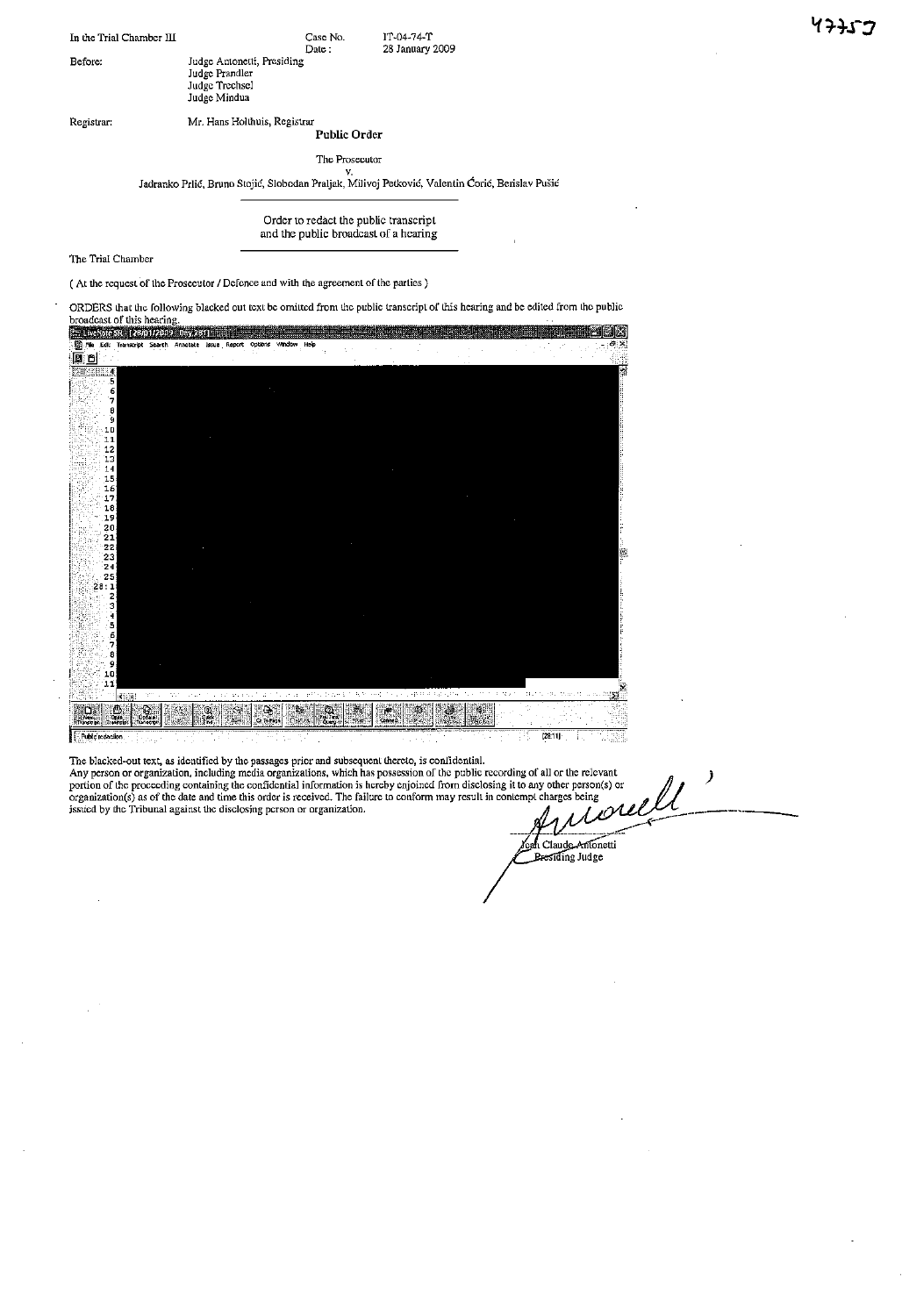| In the Trial Chamber III |                                                                                | Case No. | $IT-04-74-T$    |
|--------------------------|--------------------------------------------------------------------------------|----------|-----------------|
|                          |                                                                                | Date:    | 28 January 2009 |
| Before:                  | Judge Antonetti, Presiding<br>Judge Prandler<br>Judge Trechsel<br>Judge Mindua |          |                 |
|                          |                                                                                |          |                 |

Registrar: Mr. Hans Hollhuis, Registrar

**Public Order**

The Prosecutor

v. ladranko Prlid, Bruno Stojic, Slobodan Praljak, Milivoj Petkovic, Valentin Carie, Berislav Pusfc

Order to redact the public transcript and the public broadcast of a hearing

The Trial Chamber

( At the request of the Prosecutor / Defence and with the agreement of the parties)

ORDERS that the following blacked out text be omitted from the public transcript of this hearing and be edited from the public<br>broadcast of this hearing.<br>The the location contribution to the public contribution of the publ Options e x Search Ann  $\begin{array}{c} 6 \\ 7 \\ 8 \\ 9 \\ 11 \\ 12 \\ 13 \\ 14 \\ 15 \\ 16 \\ 17 \\ 18 \\ 20 \\ 21 \\ 22 \\ 23 \\ 24 \\ 26 \\ 27 \\ 28 \\ 29 \\ 24 \\ 26 \\ 27 \\ 28 \\ 29 \\ 24 \\ 29 \\ 20 \\ 24 \\ 25 \\ 26 \\ 27 \\ 28 \\ 29 \\ 29 \\ 20 \\ 24 \\ 25 \\ 27 \\ 28 \\ 29 \\ 29 \\ 20 \\ 21 \\ 22 \\ 23 \\ 24 \\ 25 \\ 27 \\ 28 \\ 29 \\ 29 \\ 21 \\$  $\frac{2}{28:1}$  $\begin{array}{c} 10 \\ 11 \end{array}$ k ĨЧ,  $\frac{1}{2}$  $\bigoplus_{\text{total}}$ J. 84  $\frac{\omega}{\omega}$ irli<br>200  $[28.11]$ 

The blacked-out text, as identified by the passages prior and subsequent thereto, is confidential.<br>Any person or organization, including media organizations, which has possession of the public recording of all or the relev organization(s) as of the date and time this order is received. The failure to conform may result in contempt charges being<br>issued by the Tribunal against the disclosing person or organization.

ah Claude Antonetti<br>Presiding Judge

39

)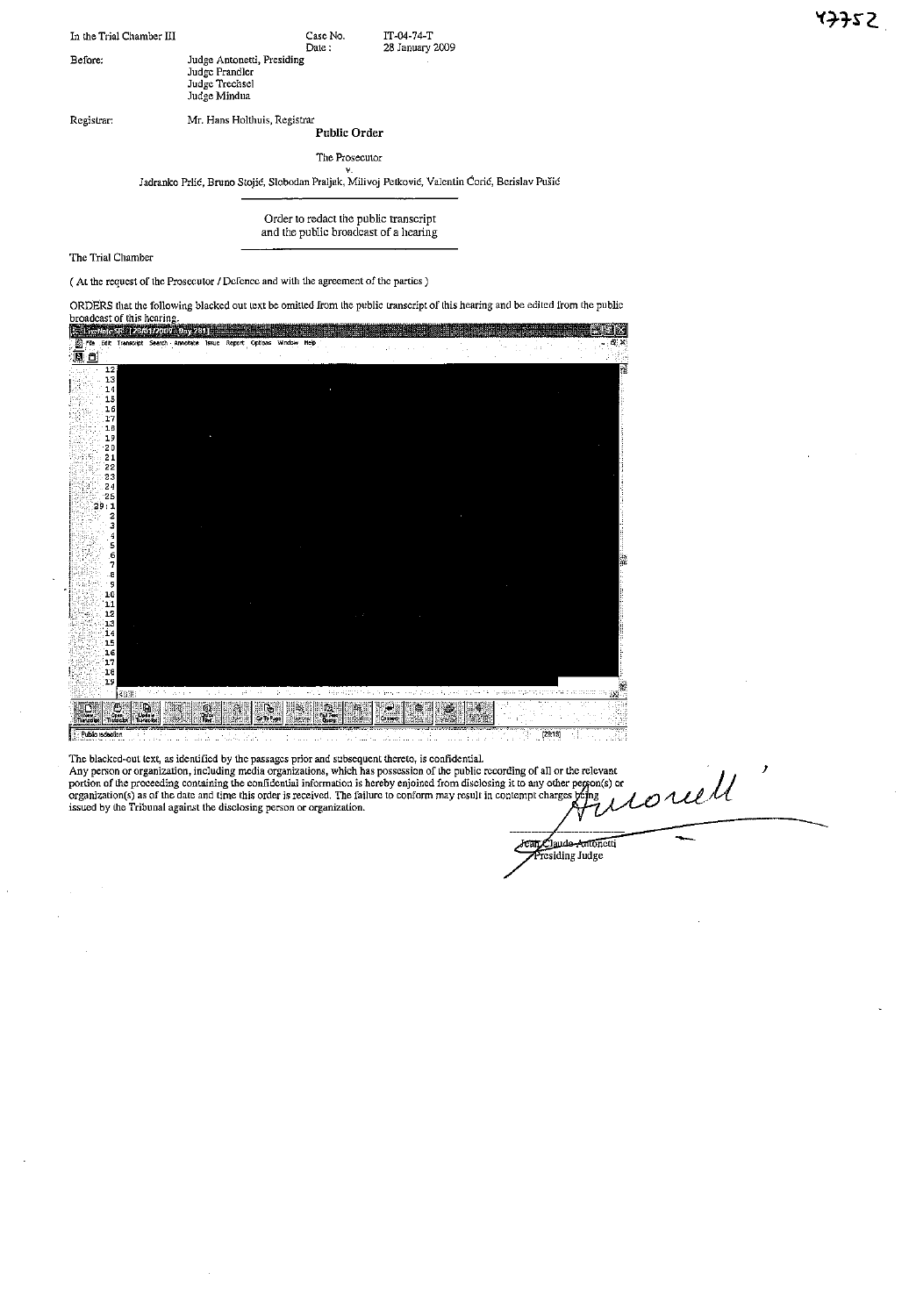| In the Trial Chamber III |                                                                                | Case No.<br>Date:    | IT-04-74-T<br>28 January 2009 |
|--------------------------|--------------------------------------------------------------------------------|----------------------|-------------------------------|
| Before:                  | Judge Antonetti, Presiding<br>Judge Prandler<br>Judge Trechsel<br>Judge Mindua |                      |                               |
| Registrar:               | Mr. Hans Holthuis, Registrar                                                   | <b>Public Order</b>  |                               |
|                          |                                                                                | The Prosecutor<br>٧. |                               |

v.<br>Jadranko Prlić, Bruno Stojić, Slobodan Praljak, Milivoj Petković, Valentin Ćorić, Berislav Pušie

Order to redact the public transcript and the public broadcast of a hearing

The Trial Chamber

( At the request of the Prosecutor / Defence and with the agreement of the parties)

ORDERS that the following blacked out text be omitted from the public transcript of this hearing and be edited from the public broadcast of this hearing.<br>I in the polarist relativities 

| File | <b>Provident Control</b><br>Edit |                                                                           | <b>A 2008 READ TO A 2008 A 2008 A 2008 A 2008 A 2008 A 2008 A 2008 A 2008 A 2008 A 2008 A 2008 A 2008 A 2008 A 2008 A 2008 A</b><br>Transcript Search Annotate | <b>Issue</b>        | Report Options Window        | Heb    |                              |  |   |  |          |  |  | 6.8      |
|------|----------------------------------|---------------------------------------------------------------------------|----------------------------------------------------------------------------------------------------------------------------------------------------------------|---------------------|------------------------------|--------|------------------------------|--|---|--|----------|--|--|----------|
| 属鱼   |                                  |                                                                           |                                                                                                                                                                |                     |                              |        |                              |  |   |  |          |  |  |          |
|      | 12                               |                                                                           |                                                                                                                                                                |                     |                              |        |                              |  |   |  |          |  |  |          |
|      | 13                               |                                                                           |                                                                                                                                                                |                     |                              |        |                              |  |   |  |          |  |  |          |
|      | $14\,$<br>$_{\rm 15}$            |                                                                           |                                                                                                                                                                |                     |                              |        |                              |  |   |  |          |  |  |          |
|      | 16                               |                                                                           |                                                                                                                                                                |                     |                              |        |                              |  |   |  |          |  |  |          |
|      | $17\,$                           |                                                                           |                                                                                                                                                                |                     |                              |        |                              |  |   |  |          |  |  |          |
|      | $18\,$                           |                                                                           |                                                                                                                                                                |                     |                              |        |                              |  |   |  |          |  |  |          |
|      | 19<br>20                         |                                                                           |                                                                                                                                                                |                     |                              |        |                              |  |   |  |          |  |  |          |
|      | 21                               |                                                                           |                                                                                                                                                                |                     |                              |        |                              |  |   |  |          |  |  |          |
|      | 22                               |                                                                           |                                                                                                                                                                |                     |                              |        |                              |  |   |  |          |  |  |          |
|      | 23                               |                                                                           |                                                                                                                                                                |                     |                              |        |                              |  |   |  |          |  |  |          |
|      | 24<br>${\bf 25}$                 |                                                                           |                                                                                                                                                                |                     |                              |        |                              |  |   |  |          |  |  |          |
|      | 29:1                             |                                                                           |                                                                                                                                                                |                     |                              |        |                              |  |   |  |          |  |  |          |
|      | $\mathbf 2$                      |                                                                           |                                                                                                                                                                |                     |                              |        |                              |  |   |  |          |  |  |          |
|      | з                                |                                                                           |                                                                                                                                                                |                     |                              |        |                              |  |   |  |          |  |  |          |
|      | 4<br>5                           |                                                                           |                                                                                                                                                                |                     |                              |        |                              |  |   |  |          |  |  |          |
|      | 6                                |                                                                           |                                                                                                                                                                |                     |                              |        |                              |  |   |  |          |  |  |          |
|      | 7                                |                                                                           |                                                                                                                                                                |                     |                              |        |                              |  |   |  |          |  |  |          |
|      | a                                |                                                                           |                                                                                                                                                                |                     |                              |        |                              |  |   |  |          |  |  |          |
|      | 9<br>${\bf 10}$                  |                                                                           |                                                                                                                                                                |                     |                              |        |                              |  |   |  |          |  |  |          |
|      | ${\bf 11}$                       |                                                                           |                                                                                                                                                                |                     |                              |        |                              |  |   |  |          |  |  |          |
|      | 12                               |                                                                           |                                                                                                                                                                |                     |                              |        |                              |  |   |  |          |  |  |          |
|      | ${\bf 13}$                       |                                                                           |                                                                                                                                                                |                     |                              |        |                              |  |   |  |          |  |  |          |
|      | 14<br>15                         |                                                                           |                                                                                                                                                                |                     |                              |        |                              |  |   |  |          |  |  |          |
|      | 16                               |                                                                           |                                                                                                                                                                |                     |                              |        |                              |  |   |  |          |  |  |          |
|      | 17                               |                                                                           |                                                                                                                                                                |                     |                              |        |                              |  |   |  |          |  |  |          |
|      | 18                               |                                                                           |                                                                                                                                                                |                     |                              |        |                              |  |   |  |          |  |  |          |
|      | 19                               |                                                                           |                                                                                                                                                                |                     |                              |        |                              |  |   |  |          |  |  | <u>e</u> |
|      |                                  | <b>REE</b>                                                                |                                                                                                                                                                |                     |                              |        |                              |  |   |  |          |  |  |          |
|      |                                  | $\begin{bmatrix} E_{\rm{max}} \ \text{max} \end{bmatrix}$<br>$\mathbf{p}$ |                                                                                                                                                                | Q)<br>Queek<br>Find | L,<br>Co <sup>To P</sup> age |        | i (C)<br>Dil Tan<br>S. Query |  | Þ |  | ia.<br>R |  |  |          |
|      |                                  |                                                                           |                                                                                                                                                                |                     |                              | 480740 |                              |  |   |  |          |  |  |          |

The blacked-out text, as identified by the passages prior and subsequent thereto, is confidential.

Any person or organization, including media organizations, which has possession of the public recording of all or the relevant<br>portion of the proceeding containing the confidential information is hereby enjoined from disc rouell

Jean Claude Antonetti

J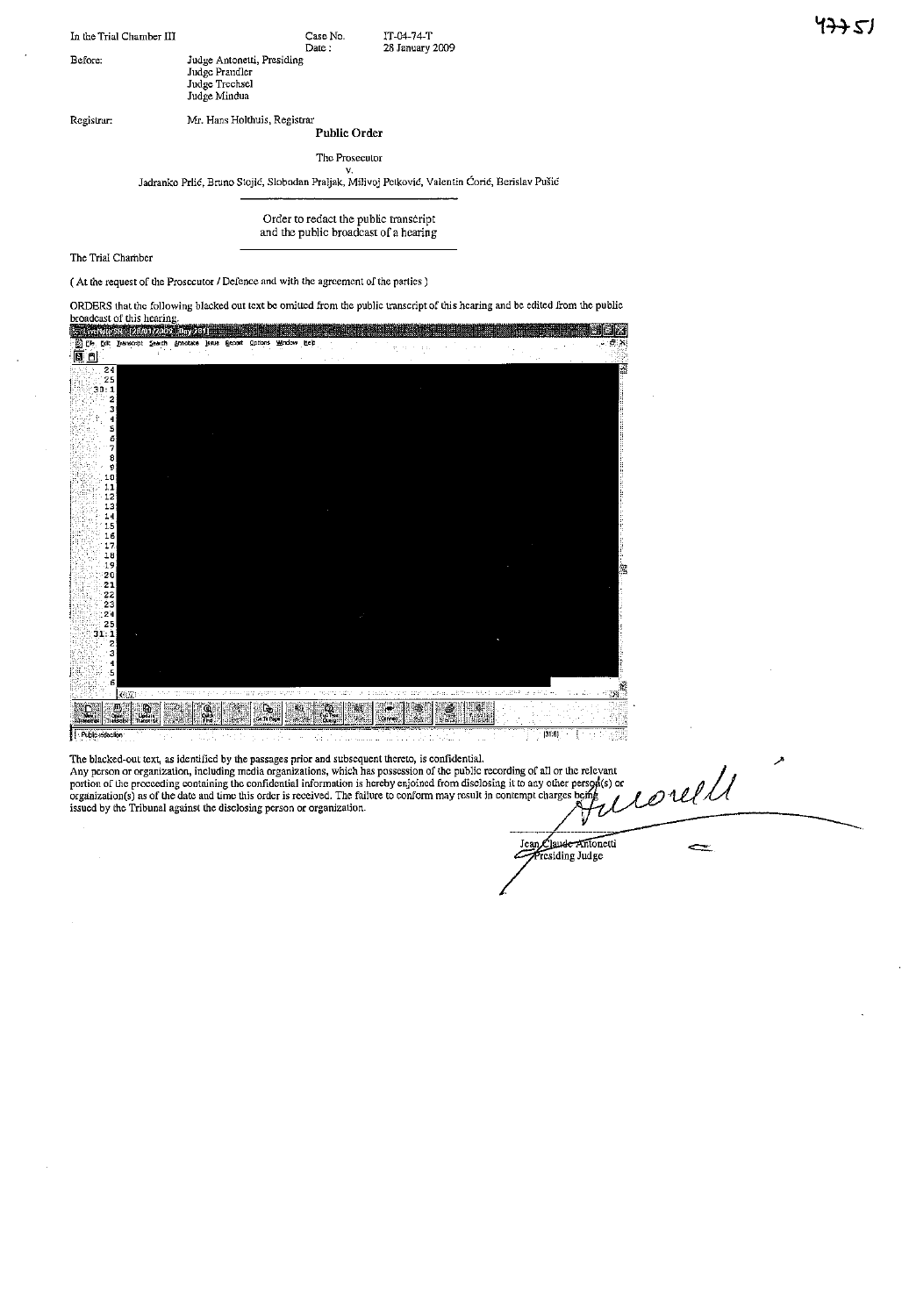In the Trial Chamber III Case No. Date: Before: Judge Antonetti, Presiding IT-04-74-T 28 January 2009

Judge Prandler Judge Trcchsel Judge Mindua

Registrar: Mr. Hans Holthuis, Registrar

**Public Order**

The Prosecutor

v. Jadrankc Prlic, Bruno Stojic, Slcbodan Praljak, Milivoj Pctkovid, Valentin Carie, Berislav Pusie

Order to redact the public transcript and the public broadcast of a hearing

ORDERS that the followlng blacked out text be omitted from the public transcript of this hearing and be edited from the public

The Trial Chamber

(At the request of the Prosecutor I Defence and with the agreement of the parties)

broadcast of this hearing.<br>i<mark>s the mest element of the complet</mark> !!II1ii\l1lll1 barata indonesia menerb Help 主張系 同国 24 as 25<br>30:1<br>2 5<br>4 3 , 5 ہ<br>5<br>7 8 **911123456789012234** 25 31:1 2 , 3 5 5  $X \cup \mathbb{Z}$ 鳳  $\mathbf{E}$ Ø.  $\mathbf{Q}$ İ  $\mathbb{R}$  $|31:6|$ 

The blacked-out text, as identified by the passages prior and subsequent thereto, is confidential.

corell Any person or organization, including media organizations, which has possession of thc public recording of all or the relevant portion of the proceeding containing the confidential information is hereby enjoined from disclosing it to any other person(s) or<br>organization(s) as of the date and time this order is received. The failure to conform may r

Jean Claude Affitonett<br>Presiding Judge

 $\Leftarrow$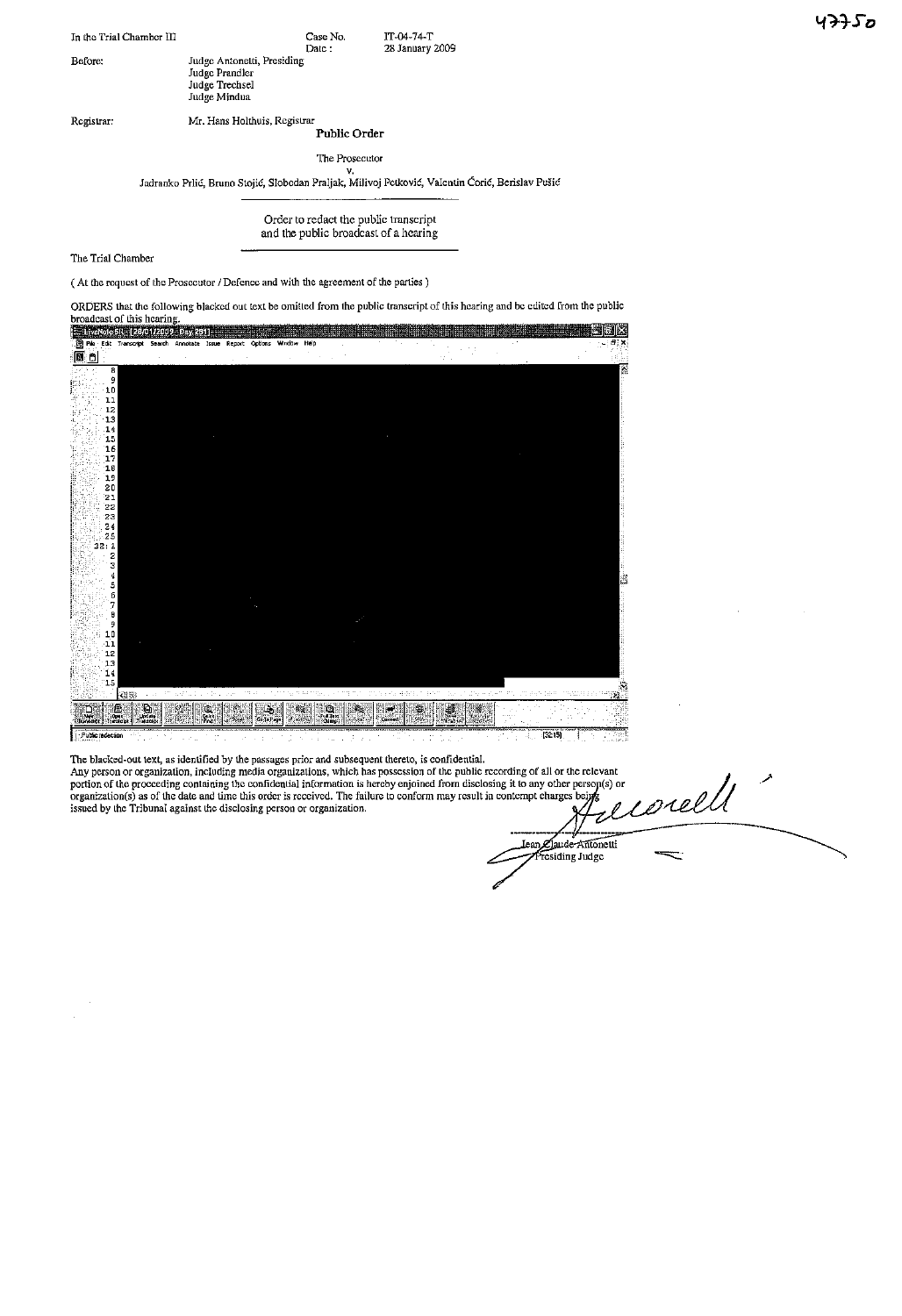| In the Trial Chamber III |                                                                                | Case No.<br>Date:    | IT-04-74-T<br>28 January 2009                                                                    |
|--------------------------|--------------------------------------------------------------------------------|----------------------|--------------------------------------------------------------------------------------------------|
| Before:                  | Judge Antonetti, Presiding<br>Judge Prandler<br>Judge Trechsel<br>Judge Mindua |                      |                                                                                                  |
| Registrar:               | Mr. Hans Holthuis, Registrar                                                   |                      |                                                                                                  |
|                          |                                                                                | Public Order         |                                                                                                  |
|                          |                                                                                | The Prosecutor<br>v. |                                                                                                  |
|                          |                                                                                |                      | Jadranko Prlić, Bruno Stojić, Slobodan Praljak, Milivoj Petković, Valentin Ćorić, Berislav Pušić |

Order to redact the public transcript and the public broadcast of a hearing

The Trial Chamber

( At the request of the Prosecutor / Defence and with the agreement of the parties)

ORDERS that the following blacked out text be omitted from the public transcript of this hearing and be edited from the public



The blacked-out text, as identified by the passages prior and subsequent thereto, is confidential.

Any person or organization, including media organizations, which has possession of the public recording of all or the relevant portion of the procceding containing the confidential information is hereby enjoined from disclosing it to any other person(s) or<br>organization(s) as of the date and time this order is received. The failure to conform may r issued by the Tribunal against the disclosing person or organization.  ${\cal Q}_1$  is a set of  ${\cal Q}_2$  or  ${\cal Q}_3$ 

d<br>G corell Jean Claude Antonetti